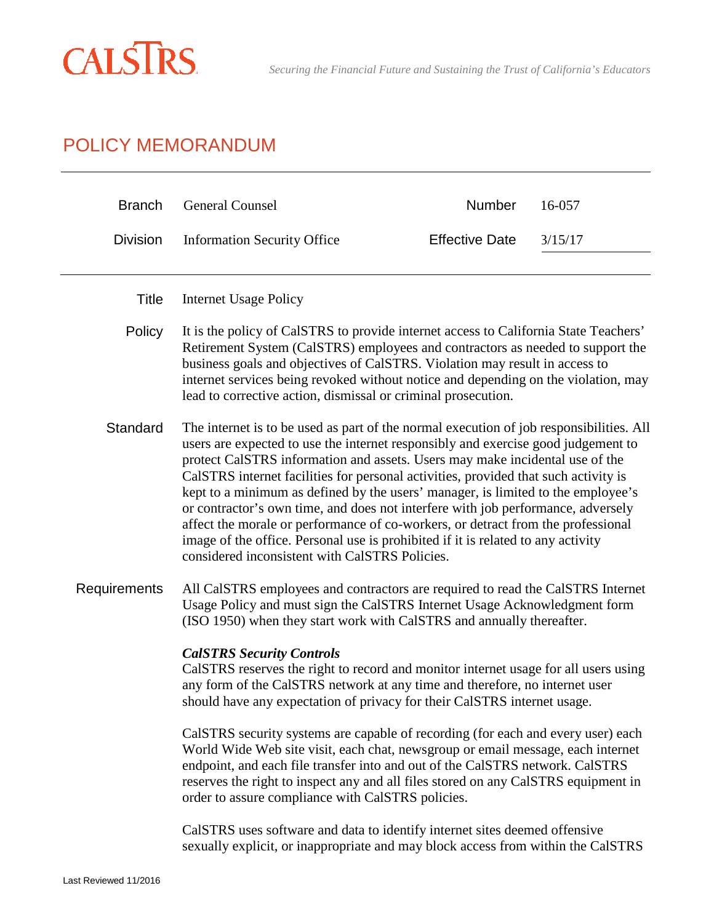

 $\overline{a}$ 

## POLICY MEMORANDUM

| <b>Branch</b>   | <b>General Counsel</b>                                                                                                                                                                                                                                                                                                                                                                                                                                                                                                                                                                                                                                                                                                                                                                                                                                                                                                                                                                                                                                                                           | Number                | 16-057  |
|-----------------|--------------------------------------------------------------------------------------------------------------------------------------------------------------------------------------------------------------------------------------------------------------------------------------------------------------------------------------------------------------------------------------------------------------------------------------------------------------------------------------------------------------------------------------------------------------------------------------------------------------------------------------------------------------------------------------------------------------------------------------------------------------------------------------------------------------------------------------------------------------------------------------------------------------------------------------------------------------------------------------------------------------------------------------------------------------------------------------------------|-----------------------|---------|
| <b>Division</b> | <b>Information Security Office</b>                                                                                                                                                                                                                                                                                                                                                                                                                                                                                                                                                                                                                                                                                                                                                                                                                                                                                                                                                                                                                                                               | <b>Effective Date</b> | 3/15/17 |
| <b>Title</b>    | <b>Internet Usage Policy</b>                                                                                                                                                                                                                                                                                                                                                                                                                                                                                                                                                                                                                                                                                                                                                                                                                                                                                                                                                                                                                                                                     |                       |         |
| Policy          | It is the policy of CalSTRS to provide internet access to California State Teachers'<br>Retirement System (CalSTRS) employees and contractors as needed to support the<br>business goals and objectives of CalSTRS. Violation may result in access to<br>internet services being revoked without notice and depending on the violation, may<br>lead to corrective action, dismissal or criminal prosecution.                                                                                                                                                                                                                                                                                                                                                                                                                                                                                                                                                                                                                                                                                     |                       |         |
| Standard        | The internet is to be used as part of the normal execution of job responsibilities. All<br>users are expected to use the internet responsibly and exercise good judgement to<br>protect CalSTRS information and assets. Users may make incidental use of the<br>CalSTRS internet facilities for personal activities, provided that such activity is<br>kept to a minimum as defined by the users' manager, is limited to the employee's<br>or contractor's own time, and does not interfere with job performance, adversely<br>affect the morale or performance of co-workers, or detract from the professional<br>image of the office. Personal use is prohibited if it is related to any activity<br>considered inconsistent with CalSTRS Policies.                                                                                                                                                                                                                                                                                                                                            |                       |         |
| Requirements    | All CalSTRS employees and contractors are required to read the CalSTRS Internet<br>Usage Policy and must sign the CalSTRS Internet Usage Acknowledgment form<br>(ISO 1950) when they start work with CalSTRS and annually thereafter.<br><b>CalSTRS Security Controls</b><br>CalSTRS reserves the right to record and monitor internet usage for all users using<br>any form of the CalSTRS network at any time and therefore, no internet user<br>should have any expectation of privacy for their CalSTRS internet usage.<br>CalSTRS security systems are capable of recording (for each and every user) each<br>World Wide Web site visit, each chat, newsgroup or email message, each internet<br>endpoint, and each file transfer into and out of the CalSTRS network. CalSTRS<br>reserves the right to inspect any and all files stored on any CalSTRS equipment in<br>order to assure compliance with CalSTRS policies.<br>CalSTRS uses software and data to identify internet sites deemed offensive<br>sexually explicit, or inappropriate and may block access from within the CalSTRS |                       |         |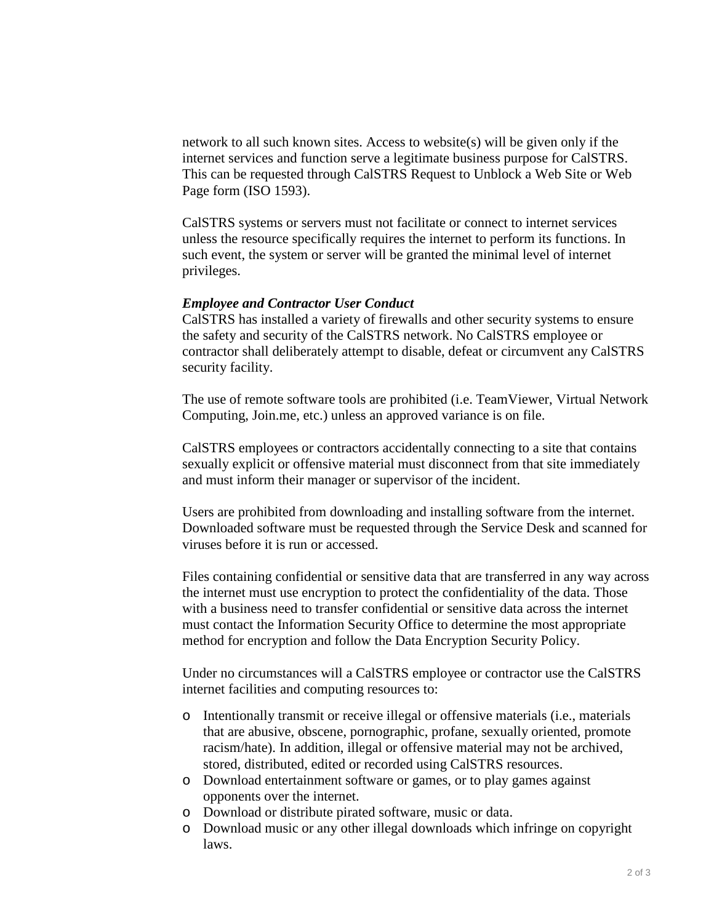network to all such known sites. Access to website(s) will be given only if the internet services and function serve a legitimate business purpose for CalSTRS. This can be requested through CalSTRS Request to Unblock a Web Site or Web Page form (ISO 1593).

CalSTRS systems or servers must not facilitate or connect to internet services unless the resource specifically requires the internet to perform its functions. In such event, the system or server will be granted the minimal level of internet privileges.

## *Employee and Contractor User Conduct*

CalSTRS has installed a variety of firewalls and other security systems to ensure the safety and security of the CalSTRS network. No CalSTRS employee or contractor shall deliberately attempt to disable, defeat or circumvent any CalSTRS security facility.

The use of remote software tools are prohibited (i.e. TeamViewer, Virtual Network Computing, Join.me, etc.) unless an approved variance is on file.

CalSTRS employees or contractors accidentally connecting to a site that contains sexually explicit or offensive material must disconnect from that site immediately and must inform their manager or supervisor of the incident.

Users are prohibited from downloading and installing software from the internet. Downloaded software must be requested through the Service Desk and scanned for viruses before it is run or accessed.

Files containing confidential or sensitive data that are transferred in any way across the internet must use encryption to protect the confidentiality of the data. Those with a business need to transfer confidential or sensitive data across the internet must contact the Information Security Office to determine the most appropriate method for encryption and follow the Data Encryption Security Policy.

Under no circumstances will a CalSTRS employee or contractor use the CalSTRS internet facilities and computing resources to:

- o Intentionally transmit or receive illegal or offensive materials (i.e., materials that are abusive, obscene, pornographic, profane, sexually oriented, promote racism/hate). In addition, illegal or offensive material may not be archived, stored, distributed, edited or recorded using CalSTRS resources.
- o Download entertainment software or games, or to play games against opponents over the internet.
- o Download or distribute pirated software, music or data.
- o Download music or any other illegal downloads which infringe on copyright laws.